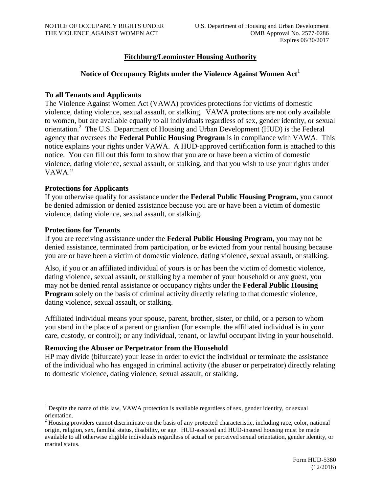## **Fitchburg/Leominster Housing Authority**

## Notice of Occupancy Rights under the Violence Against Women Act<sup>1</sup>

#### **To all Tenants and Applicants**

The Violence Against Women Act (VAWA) provides protections for victims of domestic violence, dating violence, sexual assault, or stalking. VAWA protections are not only available to women, but are available equally to all individuals regardless of sex, gender identity, or sexual orientation.<sup>2</sup> The U.S. Department of Housing and Urban Development (HUD) is the Federal agency that oversees the **Federal Public Housing Program** is in compliance with VAWA. This notice explains your rights under VAWA. A HUD-approved certification form is attached to this notice. You can fill out this form to show that you are or have been a victim of domestic violence, dating violence, sexual assault, or stalking, and that you wish to use your rights under VAWA."

### **Protections for Applicants**

If you otherwise qualify for assistance under the **Federal Public Housing Program,** you cannot be denied admission or denied assistance because you are or have been a victim of domestic violence, dating violence, sexual assault, or stalking.

#### **Protections for Tenants**

 $\overline{a}$ 

If you are receiving assistance under the **Federal Public Housing Program,** you may not be denied assistance, terminated from participation, or be evicted from your rental housing because you are or have been a victim of domestic violence, dating violence, sexual assault, or stalking.

Also, if you or an affiliated individual of yours is or has been the victim of domestic violence, dating violence, sexual assault, or stalking by a member of your household or any guest, you may not be denied rental assistance or occupancy rights under the **Federal Public Housing Program** solely on the basis of criminal activity directly relating to that domestic violence, dating violence, sexual assault, or stalking.

Affiliated individual means your spouse, parent, brother, sister, or child, or a person to whom you stand in the place of a parent or guardian (for example, the affiliated individual is in your care, custody, or control); or any individual, tenant, or lawful occupant living in your household.

#### **Removing the Abuser or Perpetrator from the Household**

HP may divide (bifurcate) your lease in order to evict the individual or terminate the assistance of the individual who has engaged in criminal activity (the abuser or perpetrator) directly relating to domestic violence, dating violence, sexual assault, or stalking.

 $<sup>1</sup>$  Despite the name of this law, VAWA protection is available regardless of sex, gender identity, or sexual</sup> orientation.

<sup>&</sup>lt;sup>2</sup> Housing providers cannot discriminate on the basis of any protected characteristic, including race, color, national origin, religion, sex, familial status, disability, or age. HUD-assisted and HUD-insured housing must be made available to all otherwise eligible individuals regardless of actual or perceived sexual orientation, gender identity, or marital status.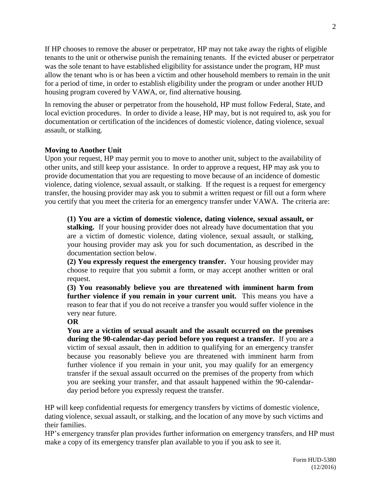If HP chooses to remove the abuser or perpetrator, HP may not take away the rights of eligible tenants to the unit or otherwise punish the remaining tenants. If the evicted abuser or perpetrator was the sole tenant to have established eligibility for assistance under the program, HP must allow the tenant who is or has been a victim and other household members to remain in the unit for a period of time, in order to establish eligibility under the program or under another HUD housing program covered by VAWA, or, find alternative housing.

In removing the abuser or perpetrator from the household, HP must follow Federal, State, and local eviction procedures. In order to divide a lease, HP may, but is not required to, ask you for documentation or certification of the incidences of domestic violence, dating violence, sexual assault, or stalking.

#### **Moving to Another Unit**

Upon your request, HP may permit you to move to another unit, subject to the availability of other units, and still keep your assistance. In order to approve a request, HP may ask you to provide documentation that you are requesting to move because of an incidence of domestic violence, dating violence, sexual assault, or stalking. If the request is a request for emergency transfer, the housing provider may ask you to submit a written request or fill out a form where you certify that you meet the criteria for an emergency transfer under VAWA. The criteria are:

**(1) You are a victim of domestic violence, dating violence, sexual assault, or stalking.** If your housing provider does not already have documentation that you are a victim of domestic violence, dating violence, sexual assault, or stalking, your housing provider may ask you for such documentation, as described in the documentation section below.

**(2) You expressly request the emergency transfer.** Your housing provider may choose to require that you submit a form, or may accept another written or oral request.

**(3) You reasonably believe you are threatened with imminent harm from**  further violence if you remain in your current unit. This means you have a reason to fear that if you do not receive a transfer you would suffer violence in the very near future.

#### **OR**

**You are a victim of sexual assault and the assault occurred on the premises during the 90-calendar-day period before you request a transfer.** If you are a victim of sexual assault, then in addition to qualifying for an emergency transfer because you reasonably believe you are threatened with imminent harm from further violence if you remain in your unit, you may qualify for an emergency transfer if the sexual assault occurred on the premises of the property from which you are seeking your transfer, and that assault happened within the 90-calendarday period before you expressly request the transfer.

HP will keep confidential requests for emergency transfers by victims of domestic violence, dating violence, sexual assault, or stalking, and the location of any move by such victims and their families.

HP's emergency transfer plan provides further information on emergency transfers, and HP must make a copy of its emergency transfer plan available to you if you ask to see it.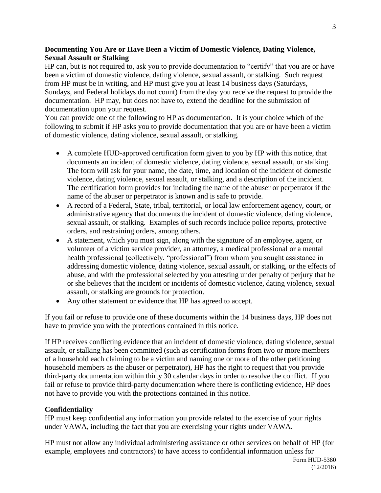## **Documenting You Are or Have Been a Victim of Domestic Violence, Dating Violence, Sexual Assault or Stalking**

HP can, but is not required to, ask you to provide documentation to "certify" that you are or have been a victim of domestic violence, dating violence, sexual assault, or stalking. Such request from HP must be in writing, and HP must give you at least 14 business days (Saturdays, Sundays, and Federal holidays do not count) from the day you receive the request to provide the documentation. HP may, but does not have to, extend the deadline for the submission of documentation upon your request.

You can provide one of the following to HP as documentation. It is your choice which of the following to submit if HP asks you to provide documentation that you are or have been a victim of domestic violence, dating violence, sexual assault, or stalking.

- A complete HUD-approved certification form given to you by HP with this notice, that documents an incident of domestic violence, dating violence, sexual assault, or stalking. The form will ask for your name, the date, time, and location of the incident of domestic violence, dating violence, sexual assault, or stalking, and a description of the incident. The certification form provides for including the name of the abuser or perpetrator if the name of the abuser or perpetrator is known and is safe to provide.
- A record of a Federal, State, tribal, territorial, or local law enforcement agency, court, or administrative agency that documents the incident of domestic violence, dating violence, sexual assault, or stalking. Examples of such records include police reports, protective orders, and restraining orders, among others.
- A statement, which you must sign, along with the signature of an employee, agent, or volunteer of a victim service provider, an attorney, a medical professional or a mental health professional (collectively, "professional") from whom you sought assistance in addressing domestic violence, dating violence, sexual assault, or stalking, or the effects of abuse, and with the professional selected by you attesting under penalty of perjury that he or she believes that the incident or incidents of domestic violence, dating violence, sexual assault, or stalking are grounds for protection.
- Any other statement or evidence that HP has agreed to accept.

If you fail or refuse to provide one of these documents within the 14 business days, HP does not have to provide you with the protections contained in this notice.

If HP receives conflicting evidence that an incident of domestic violence, dating violence, sexual assault, or stalking has been committed (such as certification forms from two or more members of a household each claiming to be a victim and naming one or more of the other petitioning household members as the abuser or perpetrator), HP has the right to request that you provide third-party documentation within thirty 30 calendar days in order to resolve the conflict. If you fail or refuse to provide third-party documentation where there is conflicting evidence, HP does not have to provide you with the protections contained in this notice.

## **Confidentiality**

HP must keep confidential any information you provide related to the exercise of your rights under VAWA, including the fact that you are exercising your rights under VAWA.

HP must not allow any individual administering assistance or other services on behalf of HP (for example, employees and contractors) to have access to confidential information unless for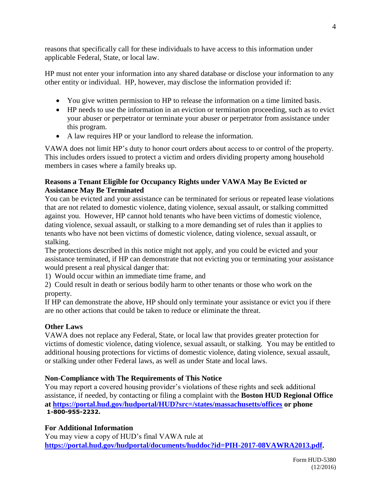reasons that specifically call for these individuals to have access to this information under applicable Federal, State, or local law.

HP must not enter your information into any shared database or disclose your information to any other entity or individual. HP, however, may disclose the information provided if:

- You give written permission to HP to release the information on a time limited basis.
- HP needs to use the information in an eviction or termination proceeding, such as to evict your abuser or perpetrator or terminate your abuser or perpetrator from assistance under this program.
- A law requires HP or your landlord to release the information.

VAWA does not limit HP's duty to honor court orders about access to or control of the property. This includes orders issued to protect a victim and orders dividing property among household members in cases where a family breaks up.

## **Reasons a Tenant Eligible for Occupancy Rights under VAWA May Be Evicted or Assistance May Be Terminated**

You can be evicted and your assistance can be terminated for serious or repeated lease violations that are not related to domestic violence, dating violence, sexual assault, or stalking committed against you. However, HP cannot hold tenants who have been victims of domestic violence, dating violence, sexual assault, or stalking to a more demanding set of rules than it applies to tenants who have not been victims of domestic violence, dating violence, sexual assault, or stalking.

The protections described in this notice might not apply, and you could be evicted and your assistance terminated, if HP can demonstrate that not evicting you or terminating your assistance would present a real physical danger that:

1) Would occur within an immediate time frame, and

2) Could result in death or serious bodily harm to other tenants or those who work on the property.

If HP can demonstrate the above, HP should only terminate your assistance or evict you if there are no other actions that could be taken to reduce or eliminate the threat.

# **Other Laws**

VAWA does not replace any Federal, State, or local law that provides greater protection for victims of domestic violence, dating violence, sexual assault, or stalking. You may be entitled to additional housing protections for victims of domestic violence, dating violence, sexual assault, or stalking under other Federal laws, as well as under State and local laws.

# **Non-Compliance with The Requirements of This Notice**

You may report a covered housing provider's violations of these rights and seek additional assistance, if needed, by contacting or filing a complaint with the **Boston HUD Regional Office at<https://portal.hud.gov/hudportal/HUD?src=/states/massachusetts/offices> or phone 1-800-955-2232.**

# **For Additional Information**

You may view a copy of HUD's final VAWA rule at **[https://portal.hud.gov/hudportal/documents/huddoc?id=PIH-2017-08VAWRA2013.pdf.](https://portal.hud.gov/hudportal/documents/huddoc?id=PIH-2017-08VAWRA2013.pdf)**